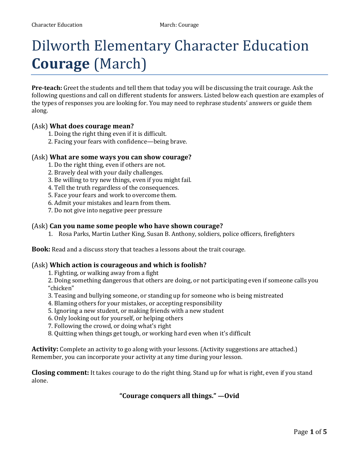# Dilworth Elementary Character Education **Courage** (March)

**Pre-teach:** Greet the students and tell them that today you will be discussing the trait courage. Ask the following questions and call on different students for answers. Listed below each question are examples of the types of responses you are looking for. You may need to rephrase students' answers or guide them along.

#### (Ask) **What does courage mean?**

- 1. Doing the right thing even if it is difficult.
- 2. Facing your fears with confidence—being brave.

#### (Ask) **What are some ways you can show courage?**

- 1. Do the right thing, even if others are not.
- 2. Bravely deal with your daily challenges.
- 3. Be willing to try new things, even if you might fail.
- 4. Tell the truth regardless of the consequences.
- 5. Face your fears and work to overcome them.
- 6. Admit your mistakes and learn from them.
- 7. Do not give into negative peer pressure

#### (Ask) **Can you name some people who have shown courage?**

1. Rosa Parks, Martin Luther King, Susan B. Anthony, soldiers, police officers, firefighters

**Book:** Read and a discuss story that teaches a lessons about the trait courage.

#### (Ask) **Which action is courageous and which is foolish?**

1. Fighting, or walking away from a fight

2. Doing something dangerous that others are doing, or not participating even if someone calls you "chicken"

- 3. Teasing and bullying someone, or standing up for someone who is being mistreated
- 4. Blaming others for your mistakes, or accepting responsibility
- 5. Ignoring a new student, or making friends with a new student
- 6. Only looking out for yourself, or helping others
- 7. Following the crowd, or doing what's right
- 8. Quitting when things get tough, or working hard even when it's difficult

**Activity:** Complete an activity to go along with your lessons. (Activity suggestions are attached.) Remember, you can incorporate your activity at any time during your lesson.

**Closing comment:** It takes courage to do the right thing. Stand up for what is right, even if you stand alone.

**"Courage conquers all things." —Ovid**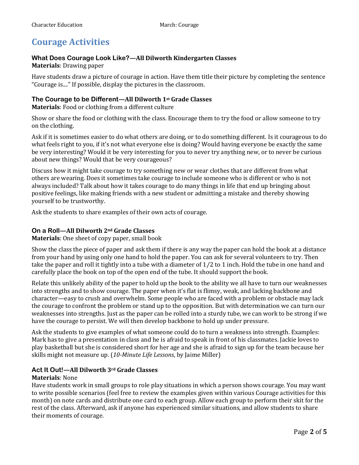# **Courage Activities**

### **What Does Courage Look Like?—All Dilworth Kindergarten Classes**

#### **Materials**: Drawing paper

Have students draw a picture of courage in action. Have them title their picture by completing the sentence "Courage is...." If possible, display the pictures in the classroom.

#### **The Courage to be Different—All Dilworth 1st Grade Classes**

**Materials**: Food or clothing from a different culture

Show or share the food or clothing with the class. Encourage them to try the food or allow someone to try on the clothing.

Ask if it is sometimes easier to do what others are doing, or to do something different. Is it courageous to do what feels right to you, if it's not what everyone else is doing? Would having everyone be exactly the same be very interesting? Would it be very interesting for you to never try anything new, or to never be curious about new things? Would that be very courageous?

Discuss how it might take courage to try something new or wear clothes that are different from what others are wearing. Does it sometimes take courage to include someone who is different or who is not always included? Talk about how it takes courage to do many things in life that end up bringing about positive feelings, like making friends with a new student or admitting a mistake and thereby showing yourself to be trustworthy.

Ask the students to share examples of their own acts of courage.

#### **On a Roll—All Dilworth 2nd Grade Classes**

**Materials**: One sheet of copy paper, small book

Show the class the piece of paper and ask them if there is any way the paper can hold the book at a distance from your hand by using only one hand to hold the paper. You can ask for several volunteers to try. Then take the paper and roll it tightly into a tube with a diameter of 1⁄2 to 1 inch. Hold the tube in one hand and carefully place the book on top of the open end of the tube. It should support the book.

Relate this unlikely ability of the paper to hold up the book to the ability we all have to turn our weaknesses into strengths and to show courage. The paper when it's flat is flimsy, weak, and lacking backbone and character—easy to crush and overwhelm. Some people who are faced with a problem or obstacle may lack the courage to confront the problem or stand up to the opposition. But with determination we can turn our weaknesses into strengths. Just as the paper can be rolled into a sturdy tube, we can work to be strong if we have the courage to persist. We will then develop backbone to hold up under pressure.

Ask the students to give examples of what someone could do to turn a weakness into strength. Examples: Mark has to give a presentation in class and he is afraid to speak in front of his classmates. Jackie loves to play basketball but she is considered short for her age and she is afraid to sign up for the team because her skills might not measure up. (*10-Minute Life Lessons*, by Jaime Miller)

#### **Act It Out!—All Dilworth 3rd Grade Classes**

#### **Materials**: None

Have students work in small groups to role play situations in which a person shows courage. You may want to write possible scenarios (feel free to review the examples given within various Courage activities for this month) on note cards and distribute one card to each group. Allow each group to perform their skit for the rest of the class. Afterward, ask if anyone has experienced similar situations, and allow students to share their moments of courage.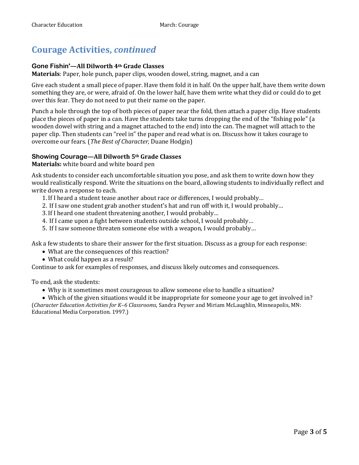# **Courage Activities,** *continued*

### **Gone Fishin'—All Dilworth 4th Grade Classes**

**Materials**: Paper, hole punch, paper clips, wooden dowel, string, magnet, and a can

Give each student a small piece of paper. Have them fold it in half. On the upper half, have them write down something they are, or were, afraid of. On the lower half, have them write what they did or could do to get over this fear. They do not need to put their name on the paper.

Punch a hole through the top of both pieces of paper near the fold, then attach a paper clip. Have students place the pieces of paper in a can. Have the students take turns dropping the end of the "fishing pole" (a wooden dowel with string and a magnet attached to the end) into the can. The magnet will attach to the paper clip. Then students can "reel in" the paper and read what is on. Discuss how it takes courage to overcome our fears. (*The Best of Character*, Duane Hodgin)

### **Showing Courage—All Dilworth 5th Grade Classes**

**Materials:** white board and white board pen

Ask students to consider each uncomfortable situation you pose, and ask them to write down how they would realistically respond. Write the situations on the board, allowing students to individually reflect and write down a response to each.

- 1.If I heard a student tease another about race or differences, I would probably…
- 2. If I saw one student grab another student's hat and run off with it, I would probably…
- 3.If I heard one student threatening another, I would probably…
- 4. If I came upon a fight between students outside school, I would probably…
- 5. If I saw someone threaten someone else with a weapon, I would probably…

Ask a few students to share their answer for the first situation. Discuss as a group for each response:

- What are the consequences of this reaction?
- What could happen as a result?

Continue to ask for examples of responses, and discuss likely outcomes and consequences.

To end, ask the students:

Why is it sometimes most courageous to allow someone else to handle a situation?

 Which of the given situations would it be inappropriate for someone your age to get involved in? (*Character Education Activities for K–6 Classrooms*, Sandra Peyser and Miriam McLaughlin, Minneapolis, MN: Educational Media Corporation. 1997.)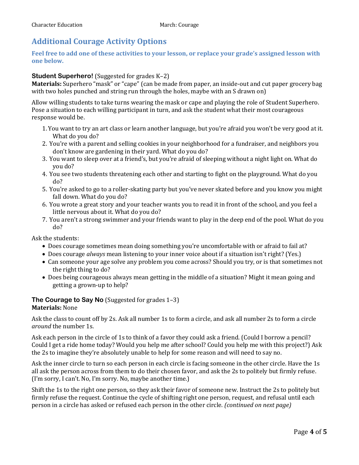## **Additional Courage Activity Options**

**Feel free to add one of these activities to your lesson, or replace your grade's assigned lesson with one below.**

#### **Student Superhero!** (Suggested for grades K–2)

**Materials:** Superhero "mask" or "cape" (can be made from paper, an inside-out and cut paper grocery bag with two holes punched and string run through the holes, maybe with an S drawn on)

Allow willing students to take turns wearing the mask or cape and playing the role of Student Superhero. Pose a situation to each willing participant in turn, and ask the student what their most courageous response would be.

- 1. You want to try an art class or learn another language, but you're afraid you won't be very good at it. What do you do?
- 2. You're with a parent and selling cookies in your neighborhood for a fundraiser, and neighbors you don't know are gardening in their yard. What do you do?
- 3. You want to sleep over at a friend's, but you're afraid of sleeping without a night light on. What do you do?
- 4. You see two students threatening each other and starting to fight on the playground. What do you do?
- 5. You're asked to go to a roller-skating party but you've never skated before and you know you might fall down. What do you do?
- 6. You wrote a great story and your teacher wants you to read it in front of the school, and you feel a little nervous about it. What do you do?
- 7. You aren't a strong swimmer and your friends want to play in the deep end of the pool. What do you do?

Ask the students:

- Does courage sometimes mean doing something you're uncomfortable with or afraid to fail at?
- Does courage *always* mean listening to your inner voice about if a situation isn't right? (Yes.)
- Can someone your age solve any problem you come across? Should you try, or is that sometimes not the right thing to do?
- Does being courageous always mean getting in the middle of a situation? Might it mean going and getting a grown-up to help?

#### **The Courage to Say No** (Suggested for grades 1–3) **Materials:** None

Ask the class to count off by 2s. Ask all number 1s to form a circle, and ask all number 2s to form a circle *around* the number 1s.

Ask each person in the circle of 1s to think of a favor they could ask a friend. (Could I borrow a pencil? Could I get a ride home today? Would you help me after school? Could you help me with this project?) Ask the 2s to imagine they're absolutely unable to help for some reason and will need to say no.

Ask the inner circle to turn so each person in each circle is facing someone in the other circle. Have the 1s all ask the person across from them to do their chosen favor, and ask the 2s to politely but firmly refuse. (I'm sorry, I can't. No, I'm sorry. No, maybe another time.)

Shift the 1s to the right one person, so they ask their favor of someone new. Instruct the 2s to politely but firmly refuse the request. Continue the cycle of shifting right one person, request, and refusal until each person in a circle has asked or refused each person in the other circle. *(continued on next page)*